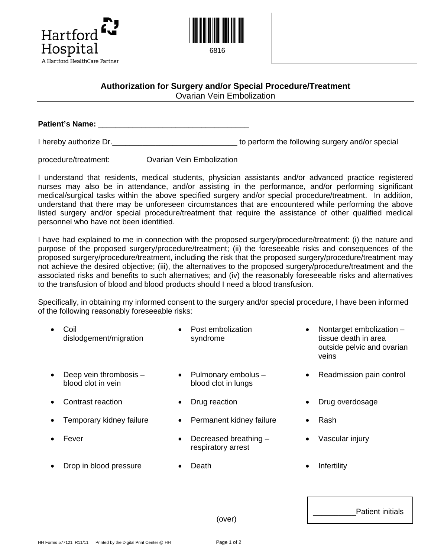



## **Authorization for Surgery and/or Special Procedure/Treatment**

Ovarian Vein Embolization

Patient's Name:

I hereby authorize Dr.  $\blacksquare$ 

procedure/treatment: Ovarian Vein Embolization

I understand that residents, medical students, physician assistants and/or advanced practice registered nurses may also be in attendance, and/or assisting in the performance, and/or performing significant medical/surgical tasks within the above specified surgery and/or special procedure/treatment. In addition, understand that there may be unforeseen circumstances that are encountered while performing the above listed surgery and/or special procedure/treatment that require the assistance of other qualified medical personnel who have not been identified.

I have had explained to me in connection with the proposed surgery/procedure/treatment: (i) the nature and purpose of the proposed surgery/procedure/treatment; (ii) the foreseeable risks and consequences of the proposed surgery/procedure/treatment, including the risk that the proposed surgery/procedure/treatment may not achieve the desired objective; (iii), the alternatives to the proposed surgery/procedure/treatment and the associated risks and benefits to such alternatives; and (iv) the reasonably foreseeable risks and alternatives to the transfusion of blood and blood products should I need a blood transfusion.

Specifically, in obtaining my informed consent to the surgery and/or special procedure, I have been informed of the following reasonably foreseeable risks:

|           | Coil<br>dislodgement/migration               | Post embolization<br>syndrome               | $\bullet$ | Nontarget embolization -<br>tissue death in area<br>outside pelvic and ovarian<br>veins |
|-----------|----------------------------------------------|---------------------------------------------|-----------|-----------------------------------------------------------------------------------------|
| $\bullet$ | Deep vein thrombosis -<br>blood clot in yein | Pulmonary embolus -<br>blood clot in lungs  | ٠         | Readmission pain control                                                                |
| ٠         | Contrast reaction                            | Drug reaction                               | ٠         | Drug overdosage                                                                         |
|           | Temporary kidney failure                     | Permanent kidney failure                    | $\bullet$ | Rash                                                                                    |
|           | Fever                                        | Decreased breathing -<br>respiratory arrest |           | Vascular injury                                                                         |
|           | Drop in blood pressure                       | Death                                       | ٠         | Infertility                                                                             |

(over)

Patient initials